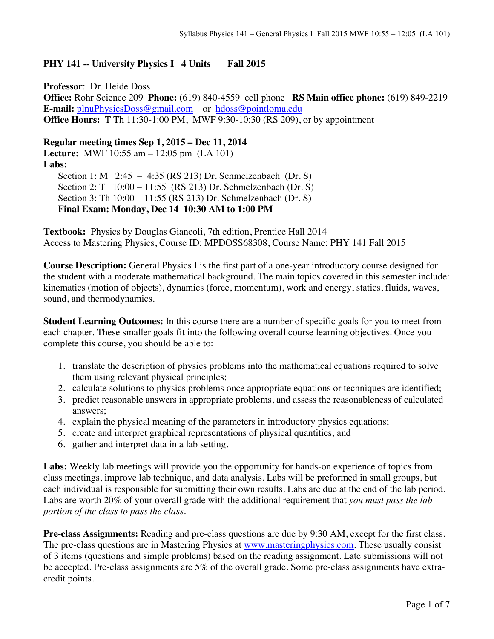## **PHY 141 -- University Physics I 4 Units Fall 2015**

**Professor**: Dr. Heide Doss **Office:** Rohr Science 209 **Phone:** (619) 840-4559 cell phone **RS Main office phone:** (619) 849-2219 **E-mail:** plnuPhysicsDoss@gmail.com or hdoss@pointloma.edu **Office Hours:** T Th 11:30-1:00 PM, MWF 9:30-10:30 (RS 209), or by appointment

## **Regular meeting times Sep 1, 2015 – Dec 11, 2014**

**Lecture:** MWF 10:55 am – 12:05 pm (LA 101) **Labs:** Section 1: M 2:45 – 4:35 (RS 213) Dr. Schmelzenbach (Dr. S) Section 2: T 10:00 – 11:55 (RS 213) Dr. Schmelzenbach (Dr. S) Section 3: Th 10:00 – 11:55 (RS 213) Dr. Schmelzenbach (Dr. S) **Final Exam: Monday, Dec 14 10:30 AM to 1:00 PM** 

**Textbook:** Physics by Douglas Giancoli, 7th edition, Prentice Hall 2014 Access to Mastering Physics, Course ID: MPDOSS68308, Course Name: PHY 141 Fall 2015

**Course Description:** General Physics I is the first part of a one-year introductory course designed for the student with a moderate mathematical background. The main topics covered in this semester include: kinematics (motion of objects), dynamics (force, momentum), work and energy, statics, fluids, waves, sound, and thermodynamics.

**Student Learning Outcomes:** In this course there are a number of specific goals for you to meet from each chapter. These smaller goals fit into the following overall course learning objectives. Once you complete this course, you should be able to:

- 1. translate the description of physics problems into the mathematical equations required to solve them using relevant physical principles;
- 2. calculate solutions to physics problems once appropriate equations or techniques are identified;
- 3. predict reasonable answers in appropriate problems, and assess the reasonableness of calculated answers;
- 4. explain the physical meaning of the parameters in introductory physics equations;
- 5. create and interpret graphical representations of physical quantities; and
- 6. gather and interpret data in a lab setting.

**Labs:** Weekly lab meetings will provide you the opportunity for hands-on experience of topics from class meetings, improve lab technique, and data analysis. Labs will be preformed in small groups, but each individual is responsible for submitting their own results. Labs are due at the end of the lab period. Labs are worth 20% of your overall grade with the additional requirement that *you must pass the lab portion of the class to pass the class*.

**Pre-class Assignments:** Reading and pre-class questions are due by 9:30 AM, except for the first class. The pre-class questions are in Mastering Physics at www.masteringphysics.com. These usually consist of 3 items (questions and simple problems) based on the reading assignment. Late submissions will not be accepted. Pre-class assignments are 5% of the overall grade. Some pre-class assignments have extracredit points.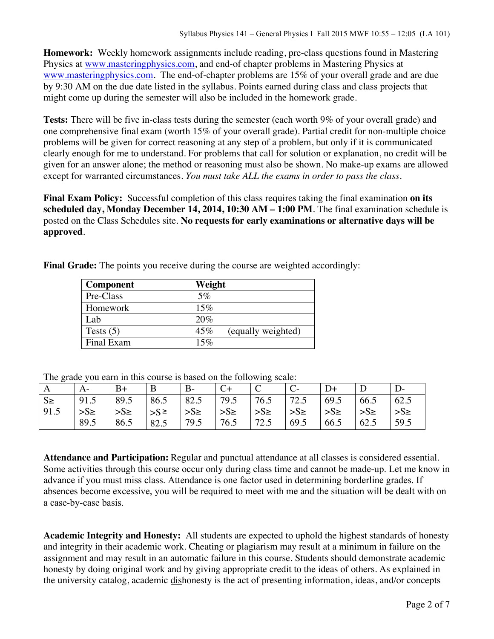**Homework:** Weekly homework assignments include reading, pre-class questions found in Mastering Physics at www.masteringphysics.com, and end-of chapter problems in Mastering Physics at www.masteringphysics.com. The end-of-chapter problems are 15% of your overall grade and are due by 9:30 AM on the due date listed in the syllabus. Points earned during class and class projects that might come up during the semester will also be included in the homework grade.

**Tests:** There will be five in-class tests during the semester (each worth 9% of your overall grade) and one comprehensive final exam (worth 15% of your overall grade). Partial credit for non-multiple choice problems will be given for correct reasoning at any step of a problem, but only if it is communicated clearly enough for me to understand. For problems that call for solution or explanation, no credit will be given for an answer alone; the method or reasoning must also be shown. No make-up exams are allowed except for warranted circumstances. *You must take ALL the exams in order to pass the class*.

**Final Exam Policy:** Successful completion of this class requires taking the final examination **on its scheduled day, Monday December 14, 2014, 10:30 AM – 1:00 PM**. The final examination schedule is posted on the Class Schedules site. **No requests for early examinations or alternative days will be approved**.

**Final Grade:** The points you receive during the course are weighted accordingly:

| Component   | Weight                    |
|-------------|---------------------------|
| Pre-Class   | $5\%$                     |
| Homework    | 15%                       |
| Lab         | 20%                       |
| Tests $(5)$ | 45%<br>(equally weighted) |
| Final Exam  | 15%                       |
|             |                           |

The grade you earn in this course is based on the following scale:

|         | A-                                                                                        | $B+$ | $\mathsf{B}$ | $B -$ | $C+$ |      |                         |      |                       |                 |
|---------|-------------------------------------------------------------------------------------------|------|--------------|-------|------|------|-------------------------|------|-----------------------|-----------------|
| $S \ge$ | $\vert 91.5 \vert 89.5 \vert 86.5 \vert 82.5 \vert 79.5 \vert 76.5 \vert 72.5 \vert 69.5$ |      |              |       |      |      |                         |      | 66.5                  | 62.5            |
| 91.5    | $ S_{\ge}$ $ S_{\ge}$ $ S_{\ge}$ $ S_{\ge}$ $ S_{\ge}$ $ S_{\ge}$ $ S_{\ge}$              |      |              |       |      |      | $ S_{\ge} $ $ S_{\ge} $ |      | $\Rightarrow$ S $\ge$ | $\Rightarrow$ S |
|         | 89.5                                                                                      | 86.5 | 82.5         | 79.5  | 76.5 | 72.5 | 69.5                    | 66.5 | 62.5                  | 59.5            |

**Attendance and Participation:** Regular and punctual attendance at all classes is considered essential. Some activities through this course occur only during class time and cannot be made-up. Let me know in advance if you must miss class. Attendance is one factor used in determining borderline grades. If absences become excessive, you will be required to meet with me and the situation will be dealt with on a case-by-case basis.

**Academic Integrity and Honesty:** All students are expected to uphold the highest standards of honesty and integrity in their academic work. Cheating or plagiarism may result at a minimum in failure on the assignment and may result in an automatic failure in this course. Students should demonstrate academic honesty by doing original work and by giving appropriate credit to the ideas of others. As explained in the university catalog, academic dishonesty is the act of presenting information, ideas, and/or concepts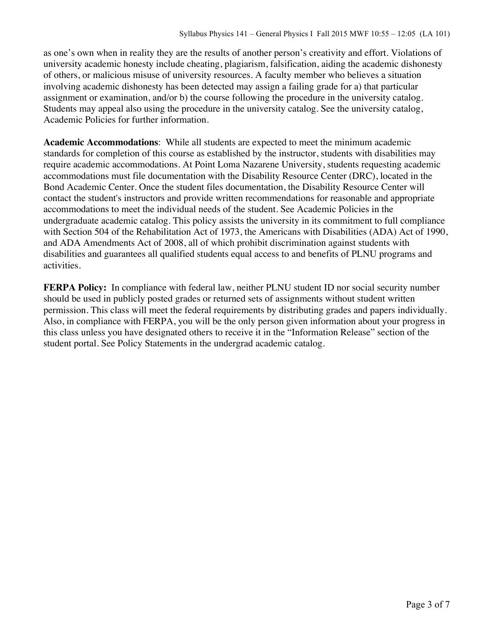as one's own when in reality they are the results of another person's creativity and effort. Violations of university academic honesty include cheating, plagiarism, falsification, aiding the academic dishonesty of others, or malicious misuse of university resources. A faculty member who believes a situation involving academic dishonesty has been detected may assign a failing grade for a) that particular assignment or examination, and/or b) the course following the procedure in the university catalog. Students may appeal also using the procedure in the university catalog. See the university catalog, Academic Policies for further information.

**Academic Accommodations**: While all students are expected to meet the minimum academic standards for completion of this course as established by the instructor, students with disabilities may require academic accommodations. At Point Loma Nazarene University, students requesting academic accommodations must file documentation with the Disability Resource Center (DRC), located in the Bond Academic Center. Once the student files documentation, the Disability Resource Center will contact the student's instructors and provide written recommendations for reasonable and appropriate accommodations to meet the individual needs of the student. See Academic Policies in the undergraduate academic catalog. This policy assists the university in its commitment to full compliance with Section 504 of the Rehabilitation Act of 1973, the Americans with Disabilities (ADA) Act of 1990, and ADA Amendments Act of 2008, all of which prohibit discrimination against students with disabilities and guarantees all qualified students equal access to and benefits of PLNU programs and activities.

**FERPA Policy:** In compliance with federal law, neither PLNU student ID nor social security number should be used in publicly posted grades or returned sets of assignments without student written permission. This class will meet the federal requirements by distributing grades and papers individually. Also, in compliance with FERPA, you will be the only person given information about your progress in this class unless you have designated others to receive it in the "Information Release" section of the student portal. See Policy Statements in the undergrad academic catalog.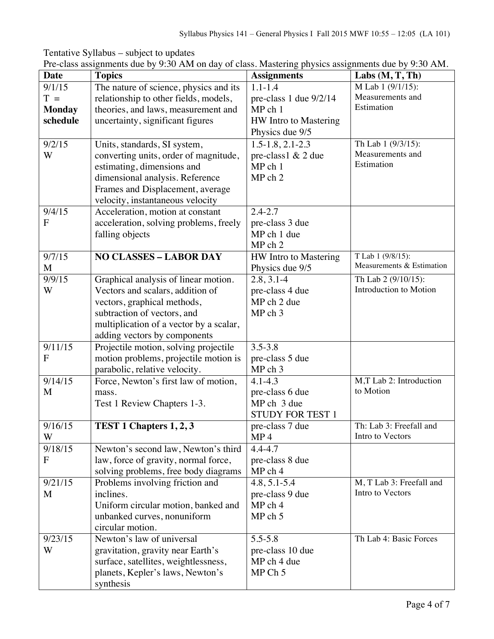| Tentative Syllabus – subject to updates                                                             |  |
|-----------------------------------------------------------------------------------------------------|--|
| Pre-class assignments due by 9:30 AM on day of class. Mastering physics assignments due by 9:30 AM. |  |

| <b>Date</b>         | <b>Topics</b>                           | <b>Assignments</b>                       | Labs $(M, T, Th)$                           |
|---------------------|-----------------------------------------|------------------------------------------|---------------------------------------------|
| 9/1/15              | The nature of science, physics and its  | $1.1 - 1.4$                              | M Lab 1 (9/1/15):                           |
| $T =$               | relationship to other fields, models,   | pre-class 1 due 9/2/14                   | Measurements and                            |
| <b>Monday</b>       | theories, and laws, measurement and     | $MP$ ch $1$                              | Estimation                                  |
| schedule            | uncertainty, significant figures        | HW Intro to Mastering                    |                                             |
|                     |                                         | Physics due 9/5                          |                                             |
| 9/2/15              | Units, standards, SI system,            | $1.5 - 1.8$ , 2.1-2.3                    | Th Lab 1 (9/3/15):                          |
| W                   | converting units, order of magnitude,   | pre-class1 & 2 due                       | Measurements and                            |
|                     | estimating, dimensions and              | $MP$ ch 1                                | Estimation                                  |
|                     | dimensional analysis. Reference         | MP ch 2                                  |                                             |
|                     | Frames and Displacement, average        |                                          |                                             |
|                     | velocity, instantaneous velocity        |                                          |                                             |
| 9/4/15              | Acceleration, motion at constant        | $2.4 - 2.7$                              |                                             |
| $\mathbf F$         | acceleration, solving problems, freely  | pre-class 3 due                          |                                             |
|                     | falling objects                         | MP ch 1 due                              |                                             |
| $\overline{9}/7/15$ | <b>NO CLASSES - LABOR DAY</b>           | MP ch 2                                  | T Lab 1 (9/8/15):                           |
| M                   |                                         | HW Intro to Mastering<br>Physics due 9/5 | Measurements & Estimation                   |
| 9/9/15              | Graphical analysis of linear motion.    | $2.8, 3.1 - 4$                           | Th Lab 2 (9/10/15):                         |
| W                   | Vectors and scalars, addition of        | pre-class 4 due                          | Introduction to Motion                      |
|                     | vectors, graphical methods,             | MP ch 2 due                              |                                             |
|                     | subtraction of vectors, and             | MP ch 3                                  |                                             |
|                     | multiplication of a vector by a scalar, |                                          |                                             |
|                     | adding vectors by components            |                                          |                                             |
| 9/11/15             | Projectile motion, solving projectile   | $3.5 - 3.8$                              |                                             |
| F                   | motion problems, projectile motion is   | pre-class 5 due                          |                                             |
|                     | parabolic, relative velocity.           | MP ch 3                                  |                                             |
| 9/14/15             | Force, Newton's first law of motion,    | $4.1 - 4.3$                              | M,T Lab 2: Introduction                     |
| M                   | mass.                                   | pre-class 6 due                          | to Motion                                   |
|                     | Test 1 Review Chapters 1-3.             | MP ch 3 due                              |                                             |
|                     |                                         | <b>STUDY FOR TEST 1</b>                  |                                             |
| 9/16/15             | TEST 1 Chapters 1, 2, 3                 | pre-class 7 due                          | Th: Lab 3: Freefall and<br>Intro to Vectors |
| W<br>9/18/15        | Newton's second law, Newton's third     | MP <sub>4</sub><br>$4.4 - 4.7$           |                                             |
| ${\bf F}$           | law, force of gravity, normal force,    | pre-class 8 due                          |                                             |
|                     | solving problems, free body diagrams    | MP ch 4                                  |                                             |
| 9/21/15             | Problems involving friction and         | $4.8, 5.1 - 5.4$                         | M, T Lab 3: Freefall and                    |
| M                   | inclines.                               | pre-class 9 due                          | Intro to Vectors                            |
|                     | Uniform circular motion, banked and     | MP ch 4                                  |                                             |
|                     | unbanked curves, nonuniform             | MP ch 5                                  |                                             |
|                     | circular motion.                        |                                          |                                             |
| 9/23/15             | Newton's law of universal               | $5.5 - 5.8$                              | Th Lab 4: Basic Forces                      |
| W                   | gravitation, gravity near Earth's       | pre-class 10 due                         |                                             |
|                     | surface, satellites, weightlessness,    | MP ch 4 due                              |                                             |
|                     | planets, Kepler's laws, Newton's        | MP Ch 5                                  |                                             |
|                     | synthesis                               |                                          |                                             |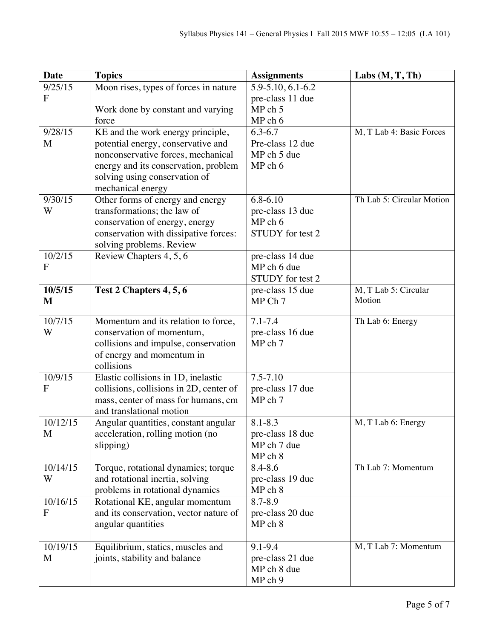| <b>Date</b>    | <b>Topics</b>                           | <b>Assignments</b> | Labs $(M, T, Th)$         |
|----------------|-----------------------------------------|--------------------|---------------------------|
| 9/25/15        | Moon rises, types of forces in nature   | 5.9-5.10, 6.1-6.2  |                           |
| $\mathbf{F}$   |                                         | pre-class 11 due   |                           |
|                | Work done by constant and varying       | MPch 5             |                           |
|                | force                                   | MP ch 6            |                           |
| 9/28/15        | KE and the work energy principle,       | $6.3 - 6.7$        | M, T Lab 4: Basic Forces  |
| M              | potential energy, conservative and      | Pre-class 12 due   |                           |
|                | nonconservative forces, mechanical      | MP ch 5 due        |                           |
|                | energy and its conservation, problem    | MP ch 6            |                           |
|                | solving using conservation of           |                    |                           |
|                | mechanical energy                       |                    |                           |
| 9/30/15        | Other forms of energy and energy        | $6.8 - 6.10$       | Th Lab 5: Circular Motion |
| W              | transformations; the law of             | pre-class 13 due   |                           |
|                | conservation of energy, energy          | MP ch 6            |                           |
|                | conservation with dissipative forces:   | STUDY for test 2   |                           |
|                | solving problems. Review                |                    |                           |
| 10/2/15        | Review Chapters 4, 5, 6                 | pre-class 14 due   |                           |
| $\mathbf{F}$   |                                         | MP ch 6 due        |                           |
|                |                                         | STUDY for test 2   |                           |
| 10/5/15        | Test 2 Chapters 4, 5, 6                 | pre-class 15 due   | M, T Lab 5: Circular      |
| M              |                                         | MP Ch 7            | Motion                    |
| 10/7/15        | Momentum and its relation to force,     | $7.1 - 7.4$        | Th Lab 6: Energy          |
| W              | conservation of momentum,               | pre-class 16 due   |                           |
|                | collisions and impulse, conservation    | MP ch 7            |                           |
|                | of energy and momentum in               |                    |                           |
|                | collisions                              |                    |                           |
| 10/9/15        | Elastic collisions in 1D, inelastic     | $7.5 - 7.10$       |                           |
| $\overline{F}$ | collisions, collisions in 2D, center of | pre-class 17 due   |                           |
|                | mass, center of mass for humans, cm     | MP ch 7            |                           |
|                | and translational motion                |                    |                           |
| 10/12/15       | Angular quantities, constant angular    | $8.1 - 8.3$        | M, T Lab 6: Energy        |
| M              | acceleration, rolling motion (no        | pre-class 18 due   |                           |
|                | slipping)                               | MP ch 7 due        |                           |
|                |                                         | MP ch 8            |                           |
| 10/14/15       | Torque, rotational dynamics; torque     | 8.4-8.6            | Th Lab 7: Momentum        |
| W              | and rotational inertia, solving         | pre-class 19 due   |                           |
|                | problems in rotational dynamics         | MP ch 8            |                           |
| 10/16/15       | Rotational KE, angular momentum         | 8.7-8.9            |                           |
| ${\bf F}$      | and its conservation, vector nature of  | pre-class 20 due   |                           |
|                | angular quantities                      | MP ch 8            |                           |
|                |                                         |                    |                           |
| 10/19/15       | Equilibrium, statics, muscles and       | 9.1-9.4            | M, T Lab 7: Momentum      |
| M              | joints, stability and balance           | pre-class 21 due   |                           |
|                |                                         | MP ch 8 due        |                           |
|                |                                         | MP ch 9            |                           |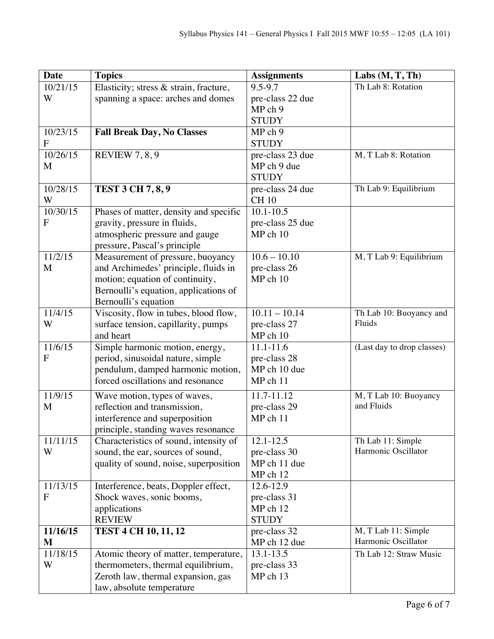| <b>Date</b>    | <b>Topics</b>                                                          | <b>Assignments</b>           | Labs $(M, T, Th)$                 |
|----------------|------------------------------------------------------------------------|------------------------------|-----------------------------------|
| 10/21/15       | Elasticity; stress & strain, fracture,                                 | 9.5-9.7                      | Th Lab 8: Rotation                |
| W              | spanning a space: arches and domes                                     | pre-class 22 due             |                                   |
|                |                                                                        | MP ch 9                      |                                   |
|                |                                                                        | <b>STUDY</b>                 |                                   |
| 10/23/15       | <b>Fall Break Day, No Classes</b>                                      | MP ch 9                      |                                   |
| $\mathbf{F}$   |                                                                        | <b>STUDY</b>                 |                                   |
| 10/26/15       | <b>REVIEW 7, 8, 9</b>                                                  | pre-class 23 due             | M, T Lab 8: Rotation              |
| M              |                                                                        | MP ch 9 due                  |                                   |
|                |                                                                        | <b>STUDY</b>                 |                                   |
| 10/28/15       | <b>TEST 3 CH 7, 8, 9</b>                                               | pre-class 24 due             | Th Lab 9: Equilibrium             |
| W              |                                                                        | <b>CH 10</b>                 |                                   |
| 10/30/15       | Phases of matter, density and specific                                 | $10.1 - 10.5$                |                                   |
| F              | gravity, pressure in fluids,                                           | pre-class 25 due             |                                   |
|                | atmospheric pressure and gauge                                         | MP ch 10                     |                                   |
|                | pressure, Pascal's principle                                           |                              |                                   |
| 11/2/15        | Measurement of pressure, buoyancy                                      | $10.6 - 10.10$               | M, T Lab 9: Equilibrium           |
| M              | and Archimedes' principle, fluids in                                   | pre-class 26                 |                                   |
|                | motion; equation of continuity,                                        | MP ch 10                     |                                   |
|                | Bernoulli's equation, applications of                                  |                              |                                   |
|                | Bernoulli's equation                                                   |                              |                                   |
| 11/4/15        | Viscosity, flow in tubes, blood flow,                                  | $10.11 - 10.14$              | Th Lab 10: Buoyancy and<br>Fluids |
| W              | surface tension, capillarity, pumps                                    | pre-class 27                 |                                   |
|                | and heart                                                              | MP ch 10                     |                                   |
| 11/6/15<br>F   | Simple harmonic motion, energy,                                        | $11.1 - 11.6$                | (Last day to drop classes)        |
|                | period, sinusoidal nature, simple                                      | pre-class 28<br>MP ch 10 due |                                   |
|                | pendulum, damped harmonic motion,<br>forced oscillations and resonance | MP ch 11                     |                                   |
|                |                                                                        |                              |                                   |
| 11/9/15        | Wave motion, types of waves,                                           | 11.7-11.12                   | M, T Lab 10: Buoyancy             |
| M              | reflection and transmission,                                           | pre-class 29                 | and Fluids                        |
|                | interference and superposition                                         | MP ch 11                     |                                   |
|                | principle, standing waves resonance                                    |                              |                                   |
| 11/11/15       | Characteristics of sound, intensity of                                 | $12.1 - 12.5$                | Th Lab 11: Simple                 |
| W              | sound, the ear, sources of sound,                                      | pre-class 30                 | Harmonic Oscillator               |
|                | quality of sound, noise, superposition                                 | MP ch 11 due                 |                                   |
|                |                                                                        | MP ch 12                     |                                   |
| 11/13/15       | Interference, beats, Doppler effect,                                   | 12.6-12.9                    |                                   |
| $\overline{F}$ | Shock waves, sonic booms,                                              | pre-class 31                 |                                   |
|                | applications                                                           | MP ch 12                     |                                   |
| 11/16/15       | <b>REVIEW</b>                                                          | <b>STUDY</b>                 | M, T Lab 11: Simple               |
| $\mathbf{M}$   | <b>TEST 4 CH 10, 11, 12</b>                                            | pre-class 32<br>MP ch 12 due | Harmonic Oscillator               |
|                |                                                                        |                              |                                   |
| 11/18/15<br>W  | Atomic theory of matter, temperature,                                  | 13.1-13.5                    | Th Lab 12: Straw Music            |
|                | thermometers, thermal equilibrium,                                     | pre-class 33<br>MP ch 13     |                                   |
|                | Zeroth law, thermal expansion, gas                                     |                              |                                   |
|                | law, absolute temperature                                              |                              |                                   |